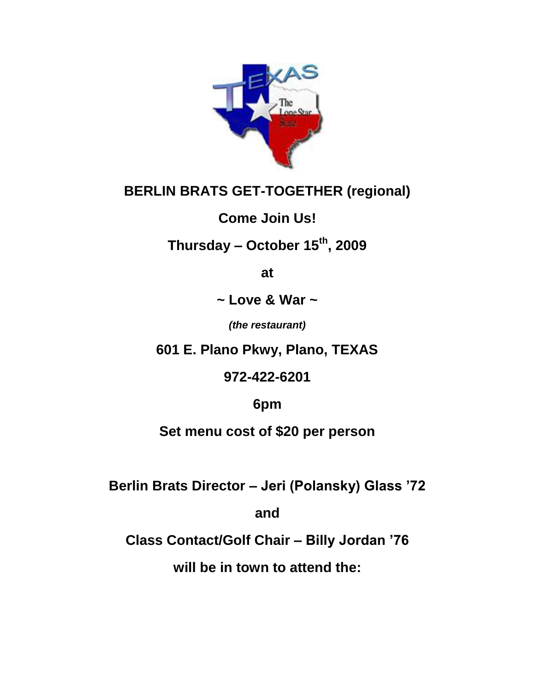

## **BERLIN BRATS GET-TOGETHER (regional)**

### **Come Join Us!**

# **Thursday – October 15th, 2009**

**at**

**~ Love & War ~** 

*(the restaurant)* 

**601 E. Plano Pkwy, Plano, TEXAS**

**972-422-6201**

**6pm**

**Set menu cost of \$20 per person**

**Berlin Brats Director – Jeri (Polansky) Glass '72** 

**and** 

**Class Contact/Golf Chair – Billy Jordan '76** 

**will be in town to attend the:**